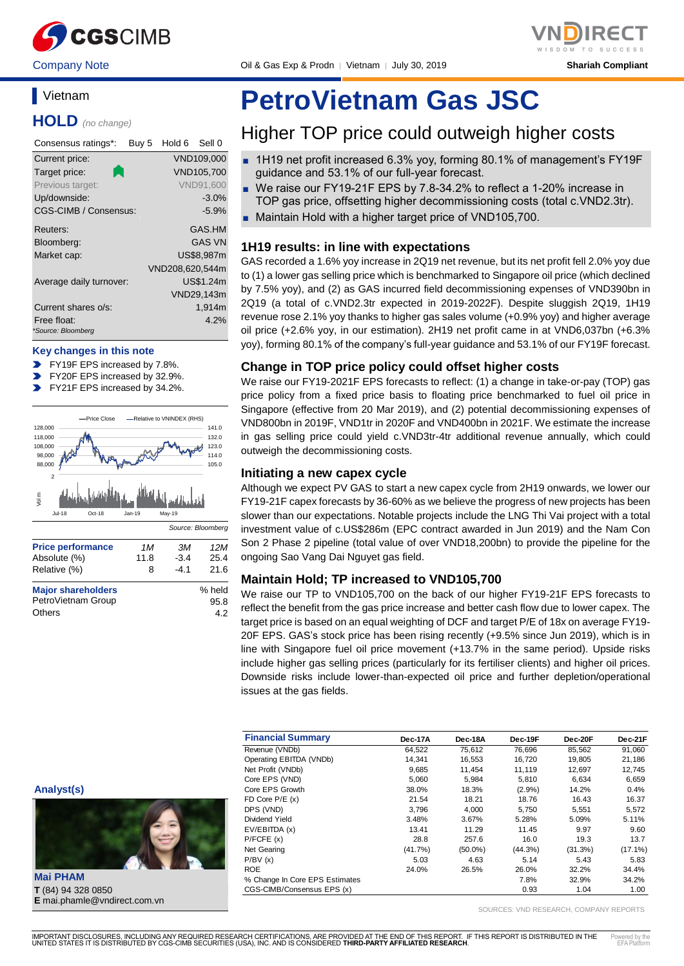

Company Note **Oril & Gas Exp & Prodn** │ Vietnam │ July 30, 2019 **Shariah Compliant** 

### **Vietnam**

**HOLD** *(no change)*

| Consensus ratings*:               | Buy 5 | Hold 6          | Sell 0           |
|-----------------------------------|-------|-----------------|------------------|
| Current price:                    |       |                 | VND109,000       |
| Target price:                     |       |                 | VND105,700       |
| Previous target:                  |       |                 | <b>VND91,600</b> |
| Up/downside:                      |       |                 | $-3.0%$          |
| CGS-CIMB / Consensus:             |       |                 | $-5.9%$          |
| Reuters:                          |       |                 | GAS.HM           |
| Bloomberg:                        |       |                 | <b>GAS VN</b>    |
| Market cap:                       |       |                 | US\$8,987m       |
|                                   |       | VND208,620,544m |                  |
| Average daily turnover:           |       |                 | US\$1.24m        |
|                                   |       |                 | VND29,143m       |
| Current shares o/s:               |       |                 | 1,914m           |
| Free float:<br>*Source: Bloomberg |       |                 | 4.2%             |
|                                   |       |                 |                  |

#### **Key changes in this note**

- FY19F EPS increased by 7.8%.
- FY20F EPS increased by 32.9%.
- FY21F EPS increased by 34.2%.  $\mathbf{v}$



Others 4.2

# **PetroVietnam Gas JSC**

### Higher TOP price could outweigh higher costs

- 1H19 net profit increased 6.3% yoy, forming 80.1% of management's FY19F guidance and 53.1% of our full-year forecast.
- We raise our FY19-21F EPS by 7.8-34.2% to reflect a 1-20% increase in TOP gas price, offsetting higher decommissioning costs (total c.VND2.3tr).
- Maintain Hold with a higher target price of VND105,700.

#### **1H19 results: in line with expectations**

GAS recorded a 1.6% yoy increase in 2Q19 net revenue, but its net profit fell 2.0% yoy due to (1) a lower gas selling price which is benchmarked to Singapore oil price (which declined by 7.5% yoy), and (2) as GAS incurred field decommissioning expenses of VND390bn in 2Q19 (a total of c.VND2.3tr expected in 2019-2022F). Despite sluggish 2Q19, 1H19 revenue rose 2.1% yoy thanks to higher gas sales volume (+0.9% yoy) and higher average oil price (+2.6% yoy, in our estimation). 2H19 net profit came in at VND6,037bn (+6.3% yoy), forming 80.1% of the company's full-year guidance and 53.1% of our FY19F forecast.

#### **Change in TOP price policy could offset higher costs**

We raise our FY19-2021F EPS forecasts to reflect: (1) a change in take-or-pay (TOP) gas price policy from a fixed price basis to floating price benchmarked to fuel oil price in Singapore (effective from 20 Mar 2019), and (2) potential decommissioning expenses of VND800bn in 2019F, VND1tr in 2020F and VND400bn in 2021F. We estimate the increase in gas selling price could yield c.VND3tr-4tr additional revenue annually, which could outweigh the decommissioning costs.

#### **Initiating a new capex cycle**

Although we expect PV GAS to start a new capex cycle from 2H19 onwards, we lower our FY19-21F capex forecasts by 36-60% as we believe the progress of new projects has been slower than our expectations. Notable projects include the LNG Thi Vai project with a total investment value of c.US\$286m (EPC contract awarded in Jun 2019) and the Nam Con Son 2 Phase 2 pipeline (total value of over VND18,200bn) to provide the pipeline for the ongoing Sao Vang Dai Nguyet gas field.

#### **Maintain Hold; TP increased to VND105,700**

We raise our TP to VND105,700 on the back of our higher FY19-21F EPS forecasts to reflect the benefit from the gas price increase and better cash flow due to lower capex. The target price is based on an equal weighting of DCF and target P/E of 18x on average FY19- 20F EPS. GAS's stock price has been rising recently (+9.5% since Jun 2019), which is in line with Singapore fuel oil price movement (+13.7% in the same period). Upside risks include higher gas selling prices (particularly for its fertiliser clients) and higher oil prices. Downside risks include lower-than-expected oil price and further depletion/operational issues at the gas fields.

| <b>Financial Summary</b>       | Dec-17A    | Dec-18A    | Dec-19F | Dec-20F | Dec-21F    |
|--------------------------------|------------|------------|---------|---------|------------|
| Revenue (VNDb)                 | 64,522     | 75,612     | 76,696  | 85,562  | 91,060     |
| Operating EBITDA (VNDb)        | 14.341     | 16,553     | 16.720  | 19,805  | 21,186     |
| Net Profit (VNDb)              | 9,685      | 11.454     | 11.119  | 12.697  | 12,745     |
| Core EPS (VND)                 | 5.060      | 5.984      | 5.810   | 6.634   | 6,659      |
| Core EPS Growth                | 38.0%      | 18.3%      | (2.9%)  | 14.2%   | 0.4%       |
| FD Core $P/E(x)$               | 21.54      | 18.21      | 18.76   | 16.43   | 16.37      |
| DPS (VND)                      | 3.796      | 4.000      | 5.750   | 5,551   | 5,572      |
| Dividend Yield                 | 3.48%      | 3.67%      | 5.28%   | 5.09%   | 5.11%      |
| EV/EBITDA (x)                  | 13.41      | 11.29      | 11.45   | 9.97    | 9.60       |
| P/FCFE(x)                      | 28.8       | 257.6      | 16.0    | 19.3    | 13.7       |
| Net Gearing                    | $(41.7\%)$ | $(50.0\%)$ | (44.3%) | (31.3%) | $(17.1\%)$ |
| P/BV(x)                        | 5.03       | 4.63       | 5.14    | 5.43    | 5.83       |
| <b>ROE</b>                     | 24.0%      | 26.5%      | 26.0%   | 32.2%   | 34.4%      |
| % Change In Core EPS Estimates |            |            | 7.8%    | 32.9%   | 34.2%      |
| CGS-CIMB/Consensus EPS (x)     |            |            | 0.93    | 1.04    | 1.00       |

SOURCES: VND RESEARCH, COMPANY REPORTS

**Analyst(s)**

**Mai PHAM T** (84) 94 328 0850 **E** mai.phamle@vndirect.com.vn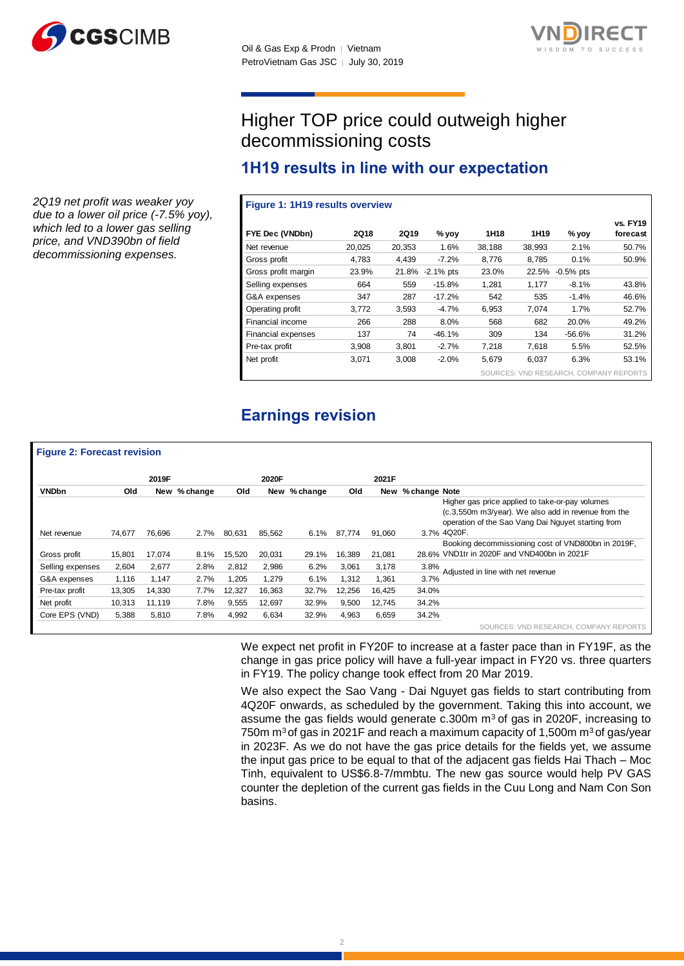



## Higher TOP price could outweigh higher decommissioning costs

### **1H19 results in line with our expectation**

#### **Figure 1: 1H19 results overview**

| FYE Dec (VNDbn)     | <b>2Q18</b> | <b>2Q19</b> | % yoy        | 1H18   | 1H <sub>19</sub> | % yoy                                  | <b>vs. FY19</b><br>forecast |
|---------------------|-------------|-------------|--------------|--------|------------------|----------------------------------------|-----------------------------|
| Net revenue         | 20,025      | 20,353      | 1.6%         | 38,188 | 38,993           | 2.1%                                   | 50.7%                       |
| Gross profit        | 4,783       | 4,439       | $-7.2%$      | 8.776  | 8,785            | 0.1%                                   | 50.9%                       |
| Gross profit margin | 23.9%       | 21.8%       | $-2.1\%$ pts | 23.0%  | 22.5%            | $-0.5%$ pts                            |                             |
| Selling expenses    | 664         | 559         | $-15.8%$     | 1.281  | 1,177            | $-8.1%$                                | 43.8%                       |
| G&A expenses        | 347         | 287         | $-17.2%$     | 542    | 535              | $-1.4%$                                | 46.6%                       |
| Operating profit    | 3.772       | 3.593       | $-4.7%$      | 6.953  | 7.074            | 1.7%                                   | 52.7%                       |
| Financial income    | 266         | 288         | 8.0%         | 568    | 682              | 20.0%                                  | 49.2%                       |
| Financial expenses  | 137         | 74          | $-46.1%$     | 309    | 134              | $-56.6%$                               | 31.2%                       |
| Pre-tax profit      | 3,908       | 3,801       | $-2.7%$      | 7.218  | 7,618            | 5.5%                                   | 52.5%                       |
| Net profit          | 3.071       | 3,008       | $-2.0%$      | 5,679  | 6.037            | 6.3%                                   | 53.1%                       |
|                     |             |             |              |        |                  | SOURCES: VND RESEARCH, COMPANY REPORTS |                             |

### **Earnings revision**

|                  |        | 2019F  |              |        | 2020F  |              |        | 2021F  |               |                                                                                                                                                              |
|------------------|--------|--------|--------------|--------|--------|--------------|--------|--------|---------------|--------------------------------------------------------------------------------------------------------------------------------------------------------------|
| <b>VNDbn</b>     | Old    |        | New % change | Old    |        | New % change | Old    | New    | % change Note |                                                                                                                                                              |
|                  |        |        |              |        |        |              |        |        |               | Higher gas price applied to take-or-pay volumes<br>(c.3,550m m3/year). We also add in revenue from the<br>operation of the Sao Vang Dai Nguyet starting from |
| Net revenue      | 74,677 | 76,696 | 2.7%         | 80,631 | 85,562 | 6.1%         | 87,774 | 91,060 |               | 3.7% 4Q20F.                                                                                                                                                  |
|                  |        |        |              |        |        |              |        |        |               | Booking decommissioning cost of VND800bn in 2019F,                                                                                                           |
| Gross profit     | 15,801 | 17.074 | 8.1%         | 15.520 | 20.031 | 29.1%        | 16.389 | 21.081 |               | 28.6% VND1tr in 2020F and VND400bn in 2021F                                                                                                                  |
| Selling expenses | 2,604  | 2.677  | 2.8%         | 2,812  | 2,986  | 6.2%         | 3,061  | 3,178  | 3.8%          | Adjusted in line with net revenue                                                                                                                            |
| G&A expenses     | 1,116  | 1.147  | 2.7%         | 1,205  | 1,279  | 6.1%         | 1,312  | 1,361  | 3.7%          |                                                                                                                                                              |
| Pre-tax profit   | 13,305 | 14.330 | 7.7%         | 12,327 | 16,363 | 32.7%        | 12,256 | 16,425 | 34.0%         |                                                                                                                                                              |
| Net profit       | 10,313 | 11.119 | 7.8%         | 9,555  | 12,697 | 32.9%        | 9,500  | 12,745 | 34.2%         |                                                                                                                                                              |
| Core EPS (VND)   | 5,388  | 5,810  | 7.8%         | 4,992  | 6,634  | 32.9%        | 4,963  | 6,659  | 34.2%         |                                                                                                                                                              |
|                  |        |        |              |        |        |              |        |        |               | SOURCES: VND RESEARCH, COMPANY REPORTS                                                                                                                       |

We expect net profit in FY20F to increase at a faster pace than in FY19F, as the change in gas price policy will have a full-year impact in FY20 vs. three quarters in FY19. The policy change took effect from 20 Mar 2019.

We also expect the Sao Vang - Dai Nguyet gas fields to start contributing from 4Q20F onwards, as scheduled by the government. Taking this into account, we assume the gas fields would generate c.300m m<sup>3</sup> of gas in 2020F, increasing to 750m  $m^3$  of gas in 2021F and reach a maximum capacity of 1,500m  $m^3$  of gas/year in 2023F. As we do not have the gas price details for the fields yet, we assume the input gas price to be equal to that of the adjacent gas fields Hai Thach – Moc Tinh, equivalent to US\$6.8-7/mmbtu. The new gas source would help PV GAS counter the depletion of the current gas fields in the Cuu Long and Nam Con Son basins.

*2Q19 net profit was weaker yoy due to a lower oil price (-7.5% yoy), which led to a lower gas selling price, and VND390bn of field decommissioning expenses.*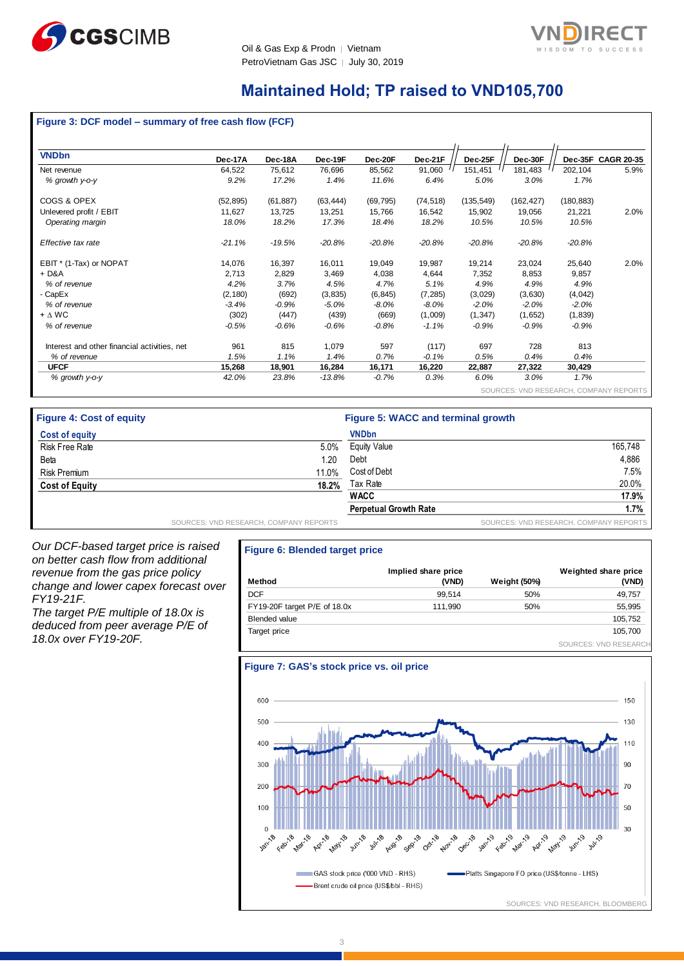



### **Maintained Hold; TP raised to VND105,700**

#### **Figure 3: DCF model – summary of free cash flow (FCF)**

| <b>VNDbn</b>                                 | Dec-17A   | Dec-18A   | Dec-19F   | Dec-20F   | Dec-21F   | Dec-25F    | Dec-30F    |            | Dec-35F CAGR 20-35 |
|----------------------------------------------|-----------|-----------|-----------|-----------|-----------|------------|------------|------------|--------------------|
| Net revenue                                  | 64,522    | 75,612    | 76,696    | 85,562    | 91,060    | 151,451    | 181,483    | 202,104    | 5.9%               |
| % growth y-o-y                               | 9.2%      | 17.2%     | 1.4%      | 11.6%     | 6.4%      | 5.0%       | 3.0%       | 1.7%       |                    |
| COGS & OPEX                                  | (52, 895) | (61, 887) | (63, 444) | (69, 795) | (74, 518) | (135, 549) | (162, 427) | (180, 883) |                    |
| Unlevered profit / EBIT                      | 11,627    | 13,725    | 13,251    | 15,766    | 16,542    | 15,902     | 19,056     | 21,221     | 2.0%               |
| Operating margin                             | 18.0%     | 18.2%     | 17.3%     | 18.4%     | 18.2%     | 10.5%      | 10.5%      | 10.5%      |                    |
| Effective tax rate                           | $-21.1%$  | $-19.5%$  | $-20.8%$  | $-20.8%$  | $-20.8%$  | $-20.8%$   | $-20.8%$   | $-20.8%$   |                    |
| EBIT * (1-Tax) or NOPAT                      | 14,076    | 16,397    | 16,011    | 19,049    | 19,987    | 19,214     | 23,024     | 25,640     | 2.0%               |
| $+D&A$                                       | 2,713     | 2,829     | 3,469     | 4,038     | 4,644     | 7,352      | 8,853      | 9,857      |                    |
| % of revenue                                 | 4.2%      | 3.7%      | 4.5%      | 4.7%      | 5.1%      | 4.9%       | 4.9%       | 4.9%       |                    |
| - CapEx                                      | (2, 180)  | (692)     | (3,835)   | (6, 845)  | (7, 285)  | (3,029)    | (3,630)    | (4,042)    |                    |
| % of revenue                                 | $-3.4%$   | $-0.9%$   | $-5.0%$   | -8.0%     | $-8.0%$   | $-2.0%$    | $-2.0%$    | $-2.0%$    |                    |
| $+ \Delta W C$                               | (302)     | (447)     | (439)     | (669)     | (1,009)   | (1, 347)   | (1,652)    | (1,839)    |                    |
| % of revenue                                 | -0.5%     | $-0.6%$   | $-0.6\%$  | $-0.8\%$  | $-1.1%$   | $-0.9%$    | $-0.9%$    | $-0.9%$    |                    |
| Interest and other financial activities, net | 961       | 815       | 1,079     | 597       | (117)     | 697        | 728        | 813        |                    |
| % of revenue                                 | 1.5%      | 1.1%      | 1.4%      | 0.7%      | $-0.1%$   | 0.5%       | 0.4%       | 0.4%       |                    |
| <b>UFCF</b>                                  | 15,268    | 18,901    | 16,284    | 16,171    | 16,220    | 22,887     | 27,322     | 30,429     |                    |
| % growth y-o-y                               | 42.0%     | 23.8%     | $-13.8%$  | $-0.7%$   | 0.3%      | 6.0%       | 3.0%       | 1.7%       |                    |
|                                              |           |           |           |           |           |            |            |            |                    |

SOURCES: VND RESEARCH, COMPANY REPORTS

| <b>Figure 4: Cost of equity</b> |                                        | Figure 5: WACC and terminal growth |                                        |  |  |  |
|---------------------------------|----------------------------------------|------------------------------------|----------------------------------------|--|--|--|
| Cost of equity                  |                                        | <b>VNDbn</b>                       |                                        |  |  |  |
| Risk Free Rate                  | 5.0%                                   | Equity Value                       | 165.748                                |  |  |  |
| Beta                            | 1.20                                   | Debt                               | 4.886                                  |  |  |  |
| <b>Risk Premium</b>             | 11.0%                                  | Cost of Debt                       | 7.5%                                   |  |  |  |
| <b>Cost of Equity</b>           | 18.2%                                  | Tax Rate                           | 20.0%                                  |  |  |  |
|                                 |                                        | <b>WACC</b>                        | 17.9%                                  |  |  |  |
|                                 |                                        | <b>Perpetual Growth Rate</b>       | $1.7\%$                                |  |  |  |
|                                 | SOURCES: VND RESEARCH, COMPANY REPORTS |                                    | SOURCES: VND RESEARCH, COMPANY REPORTS |  |  |  |

*Our DCF-based target price is raised on better cash flow from additional revenue from the gas price policy change and lower capex forecast over FY19-21F.*

*The target P/E multiple of 18.0x is deduced from peer average P/E of 18.0x over FY19-20F.*

#### **Figure 6: Blended target price**

| Method                       | Implied share price<br>(VND) | <b>Weight (50%)</b> | Weighted share price<br>(VND) |
|------------------------------|------------------------------|---------------------|-------------------------------|
| <b>DCF</b>                   | 99.514                       | 50%                 | 49,757                        |
| FY19-20F target P/E of 18.0x | 111.990                      | 50%                 | 55,995                        |
| <b>Blended value</b>         |                              |                     | 105,752                       |
| Target price                 |                              |                     | 105,700                       |
|                              |                              |                     | SOURCES: VND RESEARCH         |

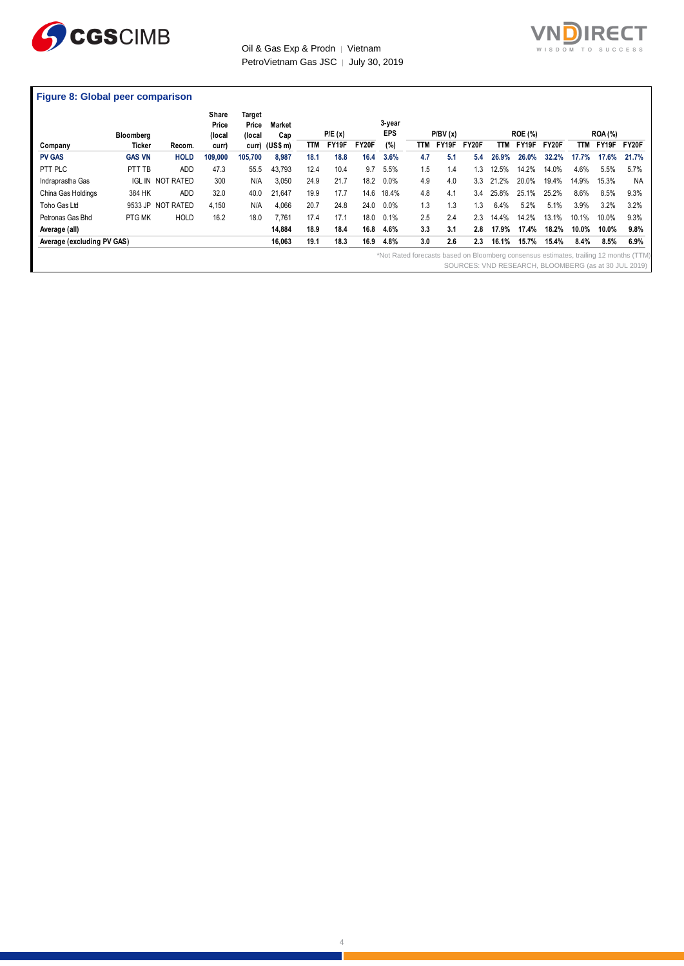



#### **Figure 8: Global peer comparison**

|                                                                                                                                               | Bloomberg     |                         | Share<br>Price<br>(local | Target<br>Price<br>(local | <b>Market</b><br>Cap |      | P/E(x) |              | 3-year<br><b>EPS</b> |     | P/BV(x) |       |              | <b>ROE (%)</b> |       |       | <b>ROA (%)</b> |       |
|-----------------------------------------------------------------------------------------------------------------------------------------------|---------------|-------------------------|--------------------------|---------------------------|----------------------|------|--------|--------------|----------------------|-----|---------|-------|--------------|----------------|-------|-------|----------------|-------|
| Company                                                                                                                                       | Ticker        | Recom.                  | curr)                    |                           | curr) (US\$ m)       | TTM  | FY19F  | <b>FY20F</b> | (%)                  | TTM | FY19F   | FY20F | TТM          | FY19F          | FY20F | TTM   | FY19F          | FY20F |
| <b>PV GAS</b>                                                                                                                                 | <b>GAS VN</b> | <b>HOLD</b>             | 109,000                  | 105.700                   | 8,987                | 18.1 | 18.8   | 16.4         | 3.6%                 | 4.7 | 5.1     | 5.4   | 26.9%        | 26.0%          | 32.2% | 17.7% | 17.6%          | 21.7% |
| PTT PLC                                                                                                                                       | PTT TB        | <b>ADD</b>              | 47.3                     | 55.5                      | 43.793               | 12.4 | 10.4   | 9.7          | 5.5%                 | 1.5 | 1.4     | 1.3   | 12.5%        | 14.2%          | 14.0% | 4.6%  | 5.5%           | 5.7%  |
| Indraprastha Gas                                                                                                                              |               | <b>IGL IN NOT RATED</b> | 300                      | N/A                       | 3,050                | 24.9 | 21.7   | 18.2         | $0.0\%$              | 4.9 | 4.0     | 3.3   | $.2\%$<br>21 | 20.0%          | 19.4% | 14.9% | 15.3%          | NA.   |
| China Gas Holdings                                                                                                                            | 384 HK        | <b>ADD</b>              | 32.0                     | 40.0                      | 21,647               | 19.9 | 17.7   | 14.6         | 18.4%                | 4.8 | 4.1     | 3.4   | 25.8%        | 25.1%          | 25.2% | 8.6%  | 8.5%           | 9.3%  |
| Toho Gas Ltd                                                                                                                                  |               | 9533 JP NOT RATED       | 4.150                    | N/A                       | 4,066                | 20.7 | 24.8   | 24.0         | 0.0%                 | 1.3 | 1.3     | 1.3   | 6.4%         | 5.2%           | 5.1%  | 3.9%  | 3.2%           | 3.2%  |
| Petronas Gas Bhd                                                                                                                              | PTG MK        | <b>HOLD</b>             | 16.2                     | 18.0                      | 7.761                | 17.4 | 17.1   | 18.0         | 0.1%                 | 2.5 | 2.4     | 2.3   | 14.4%        | 14.2%          | 13.1% | 10.1% | 10.0%          | 9.3%  |
| Average (all)                                                                                                                                 |               |                         |                          |                           | 14,884               | 18.9 | 18.4   | 16.8         | 4.6%                 | 3.3 | 3.1     | 2.8   | 17.9%        | 17.4%          | 18.2% | 10.0% | 10.0%          | 9.8%  |
| Average (excluding PV GAS)                                                                                                                    |               |                         |                          |                           | 16,063               | 19.1 | 18.3   | 16.9         | 4.8%                 | 3.0 | 2.6     | 2.3   | 16.1%        | 15.7%          | 15.4% | 8.4%  | 8.5%           | 6.9%  |
| *Not Rated forecasts based on Bloomberg consensus estimates, trailing 12 months (TTM)<br>SOURCES: VND RESEARCH, BLOOMBERG (as at 30 JUL 2019) |               |                         |                          |                           |                      |      |        |              |                      |     |         |       |              |                |       |       |                |       |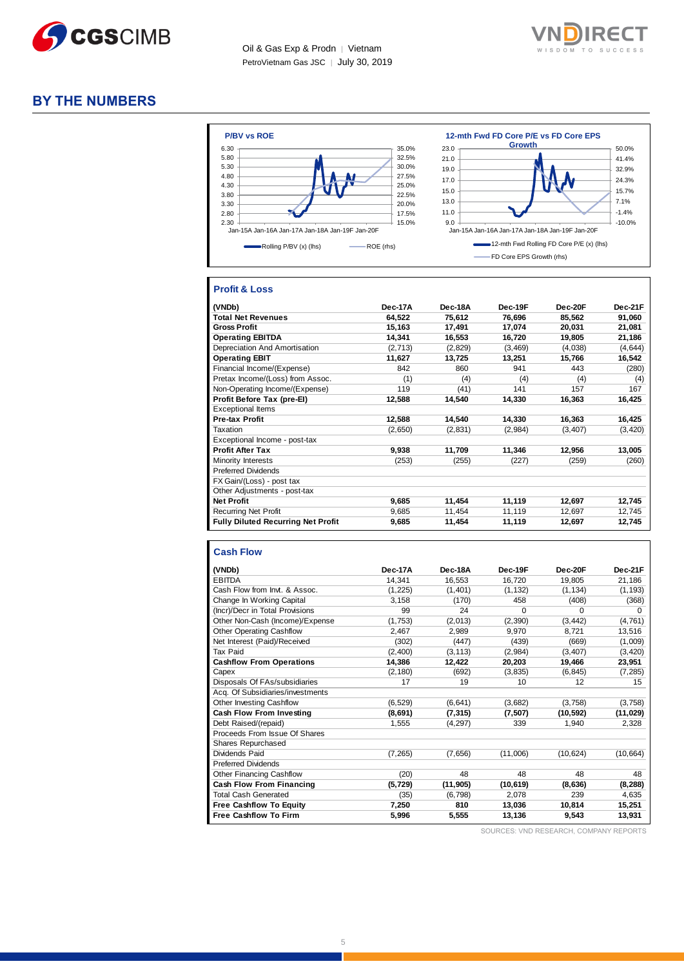



#### **BY THE NUMBERS**



#### **Profit & Loss**

| (VNDb)                                    | Dec-17A | Dec-18A | Dec-19F  | Dec-20F  | Dec-21F  |
|-------------------------------------------|---------|---------|----------|----------|----------|
| <b>Total Net Revenues</b>                 | 64,522  | 75,612  | 76,696   | 85,562   | 91,060   |
| <b>Gross Profit</b>                       | 15,163  | 17,491  | 17,074   | 20,031   | 21,081   |
| <b>Operating EBITDA</b>                   | 14,341  | 16,553  | 16,720   | 19,805   | 21,186   |
| Depreciation And Amortisation             | (2,713) | (2,829) | (3, 469) | (4,038)  | (4,644)  |
| <b>Operating EBIT</b>                     | 11,627  | 13,725  | 13,251   | 15,766   | 16,542   |
| Financial Income/(Expense)                | 842     | 860     | 941      | 443      | (280)    |
| Pretax Income/(Loss) from Assoc.          | (1)     | (4)     | (4)      | (4)      | (4)      |
| Non-Operating Income/(Expense)            | 119     | (41)    | 141      | 157      | 167      |
| Profit Before Tax (pre-El)                | 12,588  | 14,540  | 14,330   | 16,363   | 16,425   |
| <b>Exceptional Items</b>                  |         |         |          |          |          |
| <b>Pre-tax Profit</b>                     | 12,588  | 14,540  | 14,330   | 16,363   | 16,425   |
| Taxation                                  | (2,650) | (2,831) | (2,984)  | (3, 407) | (3, 420) |
| Exceptional Income - post-tax             |         |         |          |          |          |
| <b>Profit After Tax</b>                   | 9,938   | 11,709  | 11,346   | 12.956   | 13,005   |
| Minority Interests                        | (253)   | (255)   | (227)    | (259)    | (260)    |
| <b>Preferred Dividends</b>                |         |         |          |          |          |
| FX Gain/(Loss) - post tax                 |         |         |          |          |          |
| Other Adjustments - post-tax              |         |         |          |          |          |
| <b>Net Profit</b>                         | 9,685   | 11,454  | 11,119   | 12,697   | 12,745   |
| <b>Recurring Net Profit</b>               | 9,685   | 11,454  | 11,119   | 12,697   | 12,745   |
| <b>Fully Diluted Recurring Net Profit</b> | 9,685   | 11,454  | 11,119   | 12,697   | 12,745   |

#### **Cash Flow**

| (VNDb)                           | Dec-17A  | Dec-18A   | Dec-19F         | Dec-20F   | Dec-21F   |
|----------------------------------|----------|-----------|-----------------|-----------|-----------|
| <b>EBITDA</b>                    | 14,341   | 16,553    | 16,720          | 19,805    | 21,186    |
| Cash Flow from Invt. & Assoc.    | (1, 225) | (1,401)   | (1, 132)        | (1, 134)  | (1, 193)  |
| Change In Working Capital        | 3,158    | (170)     | 458             | (408)     | (368)     |
| (Incr)/Decr in Total Provisions  | 99       | 24        | $\Omega$        | $\Omega$  | $\Omega$  |
| Other Non-Cash (Income)/Expense  | (1,753)  | (2,013)   | (2,390)         | (3, 442)  | (4, 761)  |
| <b>Other Operating Cashflow</b>  | 2,467    | 2,989     | 9,970           | 8,721     | 13,516    |
| Net Interest (Paid)/Received     | (302)    | (447)     | (439)           | (669)     | (1,009)   |
| Tax Paid                         | (2,400)  | (3, 113)  | (2,984)         | (3, 407)  | (3, 420)  |
| <b>Cashflow From Operations</b>  | 14,386   | 12,422    | 20,203          | 19,466    | 23,951    |
| Capex                            | (2, 180) | (692)     | (3,835)         | (6, 845)  | (7, 285)  |
| Disposals Of FAs/subsidiaries    | 17       | 19        | 10 <sup>1</sup> | 12        | 15        |
| Acq. Of Subsidiaries/investments |          |           |                 |           |           |
| Other Investing Cashflow         | (6, 529) | (6, 641)  | (3,682)         | (3,758)   | (3,758)   |
| Cash Flow From Investing         | (8,691)  | (7, 315)  | (7, 507)        | (10, 592) | (11,029)  |
| Debt Raised/(repaid)             | 1,555    | (4, 297)  | 339             | 1,940     | 2,328     |
| Proceeds From Issue Of Shares    |          |           |                 |           |           |
| Shares Repurchased               |          |           |                 |           |           |
| Dividends Paid                   | (7, 265) | (7,656)   | (11,006)        | (10, 624) | (10, 664) |
| <b>Preferred Dividends</b>       |          |           |                 |           |           |
| Other Financing Cashflow         | (20)     | 48        | 48              | 48        | 48        |
| Cash Flow From Financing         | (5, 729) | (11, 905) | (10, 619)       | (8,636)   | (8, 288)  |
| <b>Total Cash Generated</b>      | (35)     | (6, 798)  | 2,078           | 239       | 4,635     |
| <b>Free Cashflow To Equity</b>   | 7,250    | 810       | 13,036          | 10,814    | 15,251    |
| <b>Free Cashflow To Firm</b>     | 5,996    | 5,555     | 13,136          | 9,543     | 13,931    |

SOURCES: VND RESEARCH, COMPANY REPORTS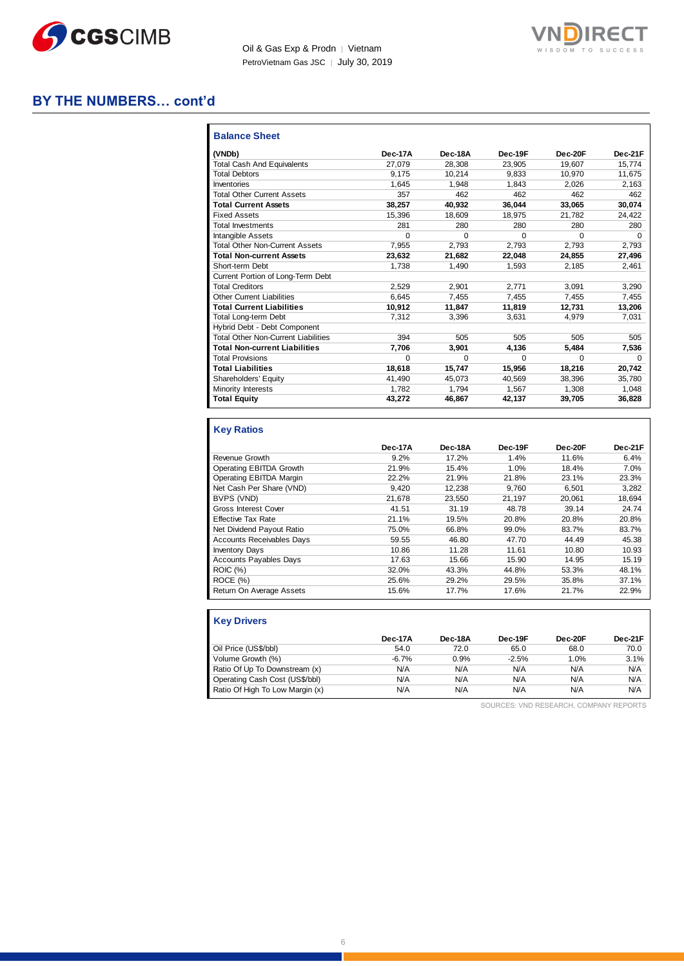



### **BY THE NUMBERS… cont'd**

| <b>Balance Sheet</b>                       |         |          |          |          |          |
|--------------------------------------------|---------|----------|----------|----------|----------|
| (VNDb)                                     | Dec-17A | Dec-18A  | Dec-19F  | Dec-20F  | Dec-21F  |
| <b>Total Cash And Equivalents</b>          | 27.079  | 28.308   | 23.905   | 19.607   | 15.774   |
| <b>Total Debtors</b>                       | 9.175   | 10.214   | 9.833    | 10.970   | 11.675   |
| Inventories                                | 1.645   | 1,948    | 1,843    | 2,026    | 2,163    |
| <b>Total Other Current Assets</b>          | 357     | 462      | 462      | 462      | 462      |
| <b>Total Current Assets</b>                | 38,257  | 40,932   | 36,044   | 33,065   | 30,074   |
| <b>Fixed Assets</b>                        | 15.396  | 18.609   | 18.975   | 21.782   | 24.422   |
| <b>Total Investments</b>                   | 281     | 280      | 280      | 280      | 280      |
| <b>Intangible Assets</b>                   | 0       | 0        | $\Omega$ | $\Omega$ | $\Omega$ |
| <b>Total Other Non-Current Assets</b>      | 7.955   | 2.793    | 2.793    | 2.793    | 2,793    |
| <b>Total Non-current Assets</b>            | 23.632  | 21,682   | 22.048   | 24.855   | 27,496   |
| Short-term Debt                            | 1.738   | 1.490    | 1.593    | 2.185    | 2.461    |
| Current Portion of Long-Term Debt          |         |          |          |          |          |
| <b>Total Creditors</b>                     | 2.529   | 2.901    | 2.771    | 3.091    | 3,290    |
| <b>Other Current Liabilities</b>           | 6.645   | 7.455    | 7.455    | 7,455    | 7,455    |
| <b>Total Current Liabilities</b>           | 10.912  | 11.847   | 11.819   | 12.731   | 13,206   |
| <b>Total Long-term Debt</b>                | 7.312   | 3,396    | 3.631    | 4.979    | 7.031    |
| Hybrid Debt - Debt Component               |         |          |          |          |          |
| <b>Total Other Non-Current Liabilities</b> | 394     | 505      | 505      | 505      | 505      |
| <b>Total Non-current Liabilities</b>       | 7.706   | 3.901    | 4.136    | 5,484    | 7,536    |
| <b>Total Provisions</b>                    | 0       | $\Omega$ | 0        | $\Omega$ | $\Omega$ |
| <b>Total Liabilities</b>                   | 18.618  | 15.747   | 15.956   | 18.216   | 20,742   |
| Shareholders' Equity                       | 41.490  | 45.073   | 40.569   | 38.396   | 35.780   |
| Minority Interests                         | 1.782   | 1,794    | 1,567    | 1,308    | 1,048    |
| <b>Total Equity</b>                        | 43,272  | 46,867   | 42,137   | 39,705   | 36,828   |

#### **Key Ratios**

|                                  | Dec-17A | Dec-18A | Dec-19F | Dec-20F | Dec-21F |
|----------------------------------|---------|---------|---------|---------|---------|
| Revenue Growth                   | 9.2%    | 17.2%   | 1.4%    | 11.6%   | 6.4%    |
| Operating EBITDA Growth          | 21.9%   | 15.4%   | 1.0%    | 18.4%   | 7.0%    |
| Operating EBITDA Margin          | 22.2%   | 21.9%   | 21.8%   | 23.1%   | 23.3%   |
| Net Cash Per Share (VND)         | 9.420   | 12,238  | 9.760   | 6,501   | 3,282   |
| BVPS (VND)                       | 21.678  | 23.550  | 21.197  | 20.061  | 18.694  |
| <b>Gross Interest Cover</b>      | 41.51   | 31.19   | 48.78   | 39.14   | 24.74   |
| <b>Effective Tax Rate</b>        | 21.1%   | 19.5%   | 20.8%   | 20.8%   | 20.8%   |
| Net Dividend Payout Ratio        | 75.0%   | 66.8%   | 99.0%   | 83.7%   | 83.7%   |
| <b>Accounts Receivables Days</b> | 59.55   | 46.80   | 47.70   | 44.49   | 45.38   |
| <b>Inventory Days</b>            | 10.86   | 11.28   | 11.61   | 10.80   | 10.93   |
| <b>Accounts Payables Days</b>    | 17.63   | 15.66   | 15.90   | 14.95   | 15.19   |
| <b>ROIC</b> (%)                  | 32.0%   | 43.3%   | 44.8%   | 53.3%   | 48.1%   |
| ROCE (%)                         | 25.6%   | 29.2%   | 29.5%   | 35.8%   | 37.1%   |
| Return On Average Assets         | 15.6%   | 17.7%   | 17.6%   | 21.7%   | 22.9%   |

| <b>Key Drivers</b>              |         |         |         |         |         |
|---------------------------------|---------|---------|---------|---------|---------|
|                                 | Dec-17A | Dec-18A | Dec-19F | Dec-20F | Dec-21F |
| Oil Price (US\$/bbl)            | 54.0    | 72.0    | 65.0    | 68.0    | 70.0    |
| Volume Growth (%)               | $-6.7%$ | 0.9%    | $-2.5%$ | 1.0%    | 3.1%    |
| Ratio Of Up To Downstream (x)   | N/A     | N/A     | N/A     | N/A     | N/A     |
| Operating Cash Cost (US\$/bbl)  | N/A     | N/A     | N/A     | N/A     | N/A     |
| Ratio Of High To Low Margin (x) | N/A     | N/A     | N/A     | N/A     | N/A     |

SOURCES: VND RESEARCH, COMPANY REPORTS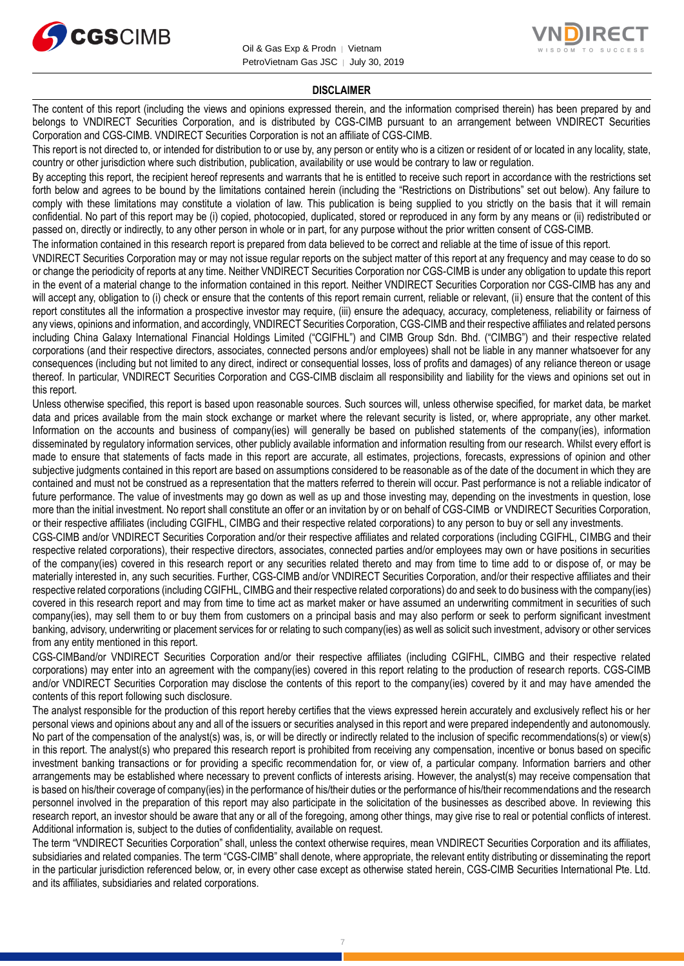



#### **DISCLAIMER**

The content of this report (including the views and opinions expressed therein, and the information comprised therein) has been prepared by and belongs to VNDIRECT Securities Corporation, and is distributed by CGS-CIMB pursuant to an arrangement between VNDIRECT Securities Corporation and CGS-CIMB. VNDIRECT Securities Corporation is not an affiliate of CGS-CIMB.

This report is not directed to, or intended for distribution to or use by, any person or entity who is a citizen or resident of or located in any locality, state, country or other jurisdiction where such distribution, publication, availability or use would be contrary to law or regulation.

By accepting this report, the recipient hereof represents and warrants that he is entitled to receive such report in accordance with the restrictions set forth below and agrees to be bound by the limitations contained herein (including the "Restrictions on Distributions" set out below). Any failure to comply with these limitations may constitute a violation of law. This publication is being supplied to you strictly on the basis that it will remain confidential. No part of this report may be (i) copied, photocopied, duplicated, stored or reproduced in any form by any means or (ii) redistributed or passed on, directly or indirectly, to any other person in whole or in part, for any purpose without the prior written consent of CGS-CIMB.

The information contained in this research report is prepared from data believed to be correct and reliable at the time of issue of this report.

VNDIRECT Securities Corporation may or may not issue regular reports on the subject matter of this report at any frequency and may cease to do so or change the periodicity of reports at any time. Neither VNDIRECT Securities Corporation nor CGS-CIMB is under any obligation to update this report in the event of a material change to the information contained in this report. Neither VNDIRECT Securities Corporation nor CGS-CIMB has any and will accept any, obligation to (i) check or ensure that the contents of this report remain current, reliable or relevant, (ii) ensure that the content of this report constitutes all the information a prospective investor may require, (iii) ensure the adequacy, accuracy, completeness, reliability or fairness of any views, opinions and information, and accordingly, VNDIRECT Securities Corporation, CGS-CIMB and their respective affiliates and related persons including China Galaxy International Financial Holdings Limited ("CGIFHL") and CIMB Group Sdn. Bhd. ("CIMBG") and their respective related corporations (and their respective directors, associates, connected persons and/or employees) shall not be liable in any manner whatsoever for any consequences (including but not limited to any direct, indirect or consequential losses, loss of profits and damages) of any reliance thereon or usage thereof. In particular, VNDIRECT Securities Corporation and CGS-CIMB disclaim all responsibility and liability for the views and opinions set out in this report.

Unless otherwise specified, this report is based upon reasonable sources. Such sources will, unless otherwise specified, for market data, be market data and prices available from the main stock exchange or market where the relevant security is listed, or, where appropriate, any other market. Information on the accounts and business of company(ies) will generally be based on published statements of the company(ies), information disseminated by regulatory information services, other publicly available information and information resulting from our research. Whilst every effort is made to ensure that statements of facts made in this report are accurate, all estimates, projections, forecasts, expressions of opinion and other subjective judgments contained in this report are based on assumptions considered to be reasonable as of the date of the document in which they are contained and must not be construed as a representation that the matters referred to therein will occur. Past performance is not a reliable indicator of future performance. The value of investments may go down as well as up and those investing may, depending on the investments in question, lose more than the initial investment. No report shall constitute an offer or an invitation by or on behalf of CGS-CIMB or VNDIRECT Securities Corporation, or their respective affiliates (including CGIFHL, CIMBG and their respective related corporations) to any person to buy or sell any investments.

CGS-CIMB and/or VNDIRECT Securities Corporation and/or their respective affiliates and related corporations (including CGIFHL, CIMBG and their respective related corporations), their respective directors, associates, connected parties and/or employees may own or have positions in securities of the company(ies) covered in this research report or any securities related thereto and may from time to time add to or dispose of, or may be materially interested in, any such securities. Further, CGS-CIMB and/or VNDIRECT Securities Corporation, and/or their respective affiliates and their respective related corporations (including CGIFHL, CIMBG and their respective related corporations) do and seek to do business with the company(ies) covered in this research report and may from time to time act as market maker or have assumed an underwriting commitment in securities of such company(ies), may sell them to or buy them from customers on a principal basis and may also perform or seek to perform significant investment banking, advisory, underwriting or placement services for or relating to such company(ies) as well as solicit such investment, advisory or other services from any entity mentioned in this report.

CGS-CIMBand/or VNDIRECT Securities Corporation and/or their respective affiliates (including CGIFHL, CIMBG and their respective related corporations) may enter into an agreement with the company(ies) covered in this report relating to the production of research reports. CGS-CIMB and/or VNDIRECT Securities Corporation may disclose the contents of this report to the company(ies) covered by it and may have amended the contents of this report following such disclosure.

The analyst responsible for the production of this report hereby certifies that the views expressed herein accurately and exclusively reflect his or her personal views and opinions about any and all of the issuers or securities analysed in this report and were prepared independently and autonomously. No part of the compensation of the analyst(s) was, is, or will be directly or indirectly related to the inclusion of specific recommendations(s) or view(s) in this report. The analyst(s) who prepared this research report is prohibited from receiving any compensation, incentive or bonus based on specific investment banking transactions or for providing a specific recommendation for, or view of, a particular company. Information barriers and other arrangements may be established where necessary to prevent conflicts of interests arising. However, the analyst(s) may receive compensation that is based on his/their coverage of company(ies) in the performance of his/their duties or the performance of his/their recommendations and the research personnel involved in the preparation of this report may also participate in the solicitation of the businesses as described above. In reviewing this research report, an investor should be aware that any or all of the foregoing, among other things, may give rise to real or potential conflicts of interest. Additional information is, subject to the duties of confidentiality, available on request.

The term "VNDIRECT Securities Corporation" shall, unless the context otherwise requires, mean VNDIRECT Securities Corporation and its affiliates, subsidiaries and related companies. The term "CGS-CIMB" shall denote, where appropriate, the relevant entity distributing or disseminating the report in the particular jurisdiction referenced below, or, in every other case except as otherwise stated herein, CGS-CIMB Securities International Pte. Ltd. and its affiliates, subsidiaries and related corporations.

7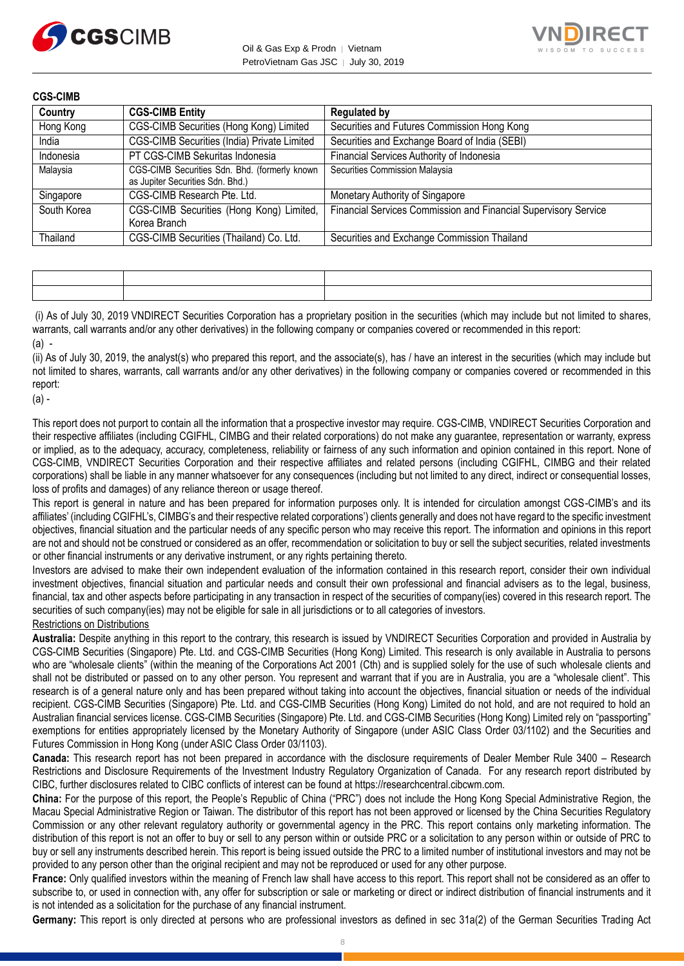



| <b>CGS-CIMB</b> |                                                                                   |                                                                 |
|-----------------|-----------------------------------------------------------------------------------|-----------------------------------------------------------------|
| Country         | <b>CGS-CIMB Entity</b>                                                            | <b>Regulated by</b>                                             |
| Hong Kong       | CGS-CIMB Securities (Hong Kong) Limited                                           | Securities and Futures Commission Hong Kong                     |
| India           | CGS-CIMB Securities (India) Private Limited                                       | Securities and Exchange Board of India (SEBI)                   |
| Indonesia       | PT CGS-CIMB Sekuritas Indonesia                                                   | Financial Services Authority of Indonesia                       |
| Malaysia        | CGS-CIMB Securities Sdn. Bhd. (formerly known<br>as Jupiter Securities Sdn. Bhd.) | Securities Commission Malaysia                                  |
| Singapore       | CGS-CIMB Research Pte. Ltd.                                                       | Monetary Authority of Singapore                                 |
| South Korea     | CGS-CIMB Securities (Hong Kong) Limited,<br>Korea Branch                          | Financial Services Commission and Financial Supervisory Service |
| Thailand        | CGS-CIMB Securities (Thailand) Co. Ltd.                                           | Securities and Exchange Commission Thailand                     |

(i) As of July 30, 2019 VNDIRECT Securities Corporation has a proprietary position in the securities (which may include but not limited to shares, warrants, call warrants and/or any other derivatives) in the following company or companies covered or recommended in this report: (a) -

(ii) As of July 30, 2019, the analyst(s) who prepared this report, and the associate(s), has / have an interest in the securities (which may include but not limited to shares, warrants, call warrants and/or any other derivatives) in the following company or companies covered or recommended in this report:

(a) -

This report does not purport to contain all the information that a prospective investor may require. CGS-CIMB, VNDIRECT Securities Corporation and their respective affiliates (including CGIFHL, CIMBG and their related corporations) do not make any guarantee, representation or warranty, express or implied, as to the adequacy, accuracy, completeness, reliability or fairness of any such information and opinion contained in this report. None of CGS-CIMB, VNDIRECT Securities Corporation and their respective affiliates and related persons (including CGIFHL, CIMBG and their related corporations) shall be liable in any manner whatsoever for any consequences (including but not limited to any direct, indirect or consequential losses, loss of profits and damages) of any reliance thereon or usage thereof.

This report is general in nature and has been prepared for information purposes only. It is intended for circulation amongst CGS-CIMB's and its affiliates' (including CGIFHL's, CIMBG's and their respective related corporations') clients generally and does not have regard to the specific investment objectives, financial situation and the particular needs of any specific person who may receive this report. The information and opinions in this report are not and should not be construed or considered as an offer, recommendation or solicitation to buy or sell the subject securities, related investments or other financial instruments or any derivative instrument, or any rights pertaining thereto.

Investors are advised to make their own independent evaluation of the information contained in this research report, consider their own individual investment objectives, financial situation and particular needs and consult their own professional and financial advisers as to the legal, business, financial, tax and other aspects before participating in any transaction in respect of the securities of company(ies) covered in this research report. The securities of such company(ies) may not be eligible for sale in all jurisdictions or to all categories of investors.

Restrictions on Distributions

**Australia:** Despite anything in this report to the contrary, this research is issued by VNDIRECT Securities Corporation and provided in Australia by CGS-CIMB Securities (Singapore) Pte. Ltd. and CGS-CIMB Securities (Hong Kong) Limited. This research is only available in Australia to persons who are "wholesale clients" (within the meaning of the Corporations Act 2001 (Cth) and is supplied solely for the use of such wholesale clients and shall not be distributed or passed on to any other person. You represent and warrant that if you are in Australia, you are a "wholesale client". This research is of a general nature only and has been prepared without taking into account the objectives, financial situation or needs of the individual recipient. CGS-CIMB Securities (Singapore) Pte. Ltd. and CGS-CIMB Securities (Hong Kong) Limited do not hold, and are not required to hold an Australian financial services license. CGS-CIMB Securities (Singapore) Pte. Ltd. and CGS-CIMB Securities (Hong Kong) Limited rely on "passporting" exemptions for entities appropriately licensed by the Monetary Authority of Singapore (under ASIC Class Order 03/1102) and the Securities and Futures Commission in Hong Kong (under ASIC Class Order 03/1103).

**Canada:** This research report has not been prepared in accordance with the disclosure requirements of Dealer Member Rule 3400 – Research Restrictions and Disclosure Requirements of the Investment Industry Regulatory Organization of Canada. For any research report distributed by CIBC, further disclosures related to CIBC conflicts of interest can be found at https://researchcentral.cibcwm.com.

**China:** For the purpose of this report, the People's Republic of China ("PRC") does not include the Hong Kong Special Administrative Region, the Macau Special Administrative Region or Taiwan. The distributor of this report has not been approved or licensed by the China Securities Regulatory Commission or any other relevant regulatory authority or governmental agency in the PRC. This report contains only marketing information. The distribution of this report is not an offer to buy or sell to any person within or outside PRC or a solicitation to any person within or outside of PRC to buy or sell any instruments described herein. This report is being issued outside the PRC to a limited number of institutional investors and may not be provided to any person other than the original recipient and may not be reproduced or used for any other purpose.

**France:** Only qualified investors within the meaning of French law shall have access to this report. This report shall not be considered as an offer to subscribe to, or used in connection with, any offer for subscription or sale or marketing or direct or indirect distribution of financial instruments and it is not intended as a solicitation for the purchase of any financial instrument.

**Germany:** This report is only directed at persons who are professional investors as defined in sec 31a(2) of the German Securities Trading Act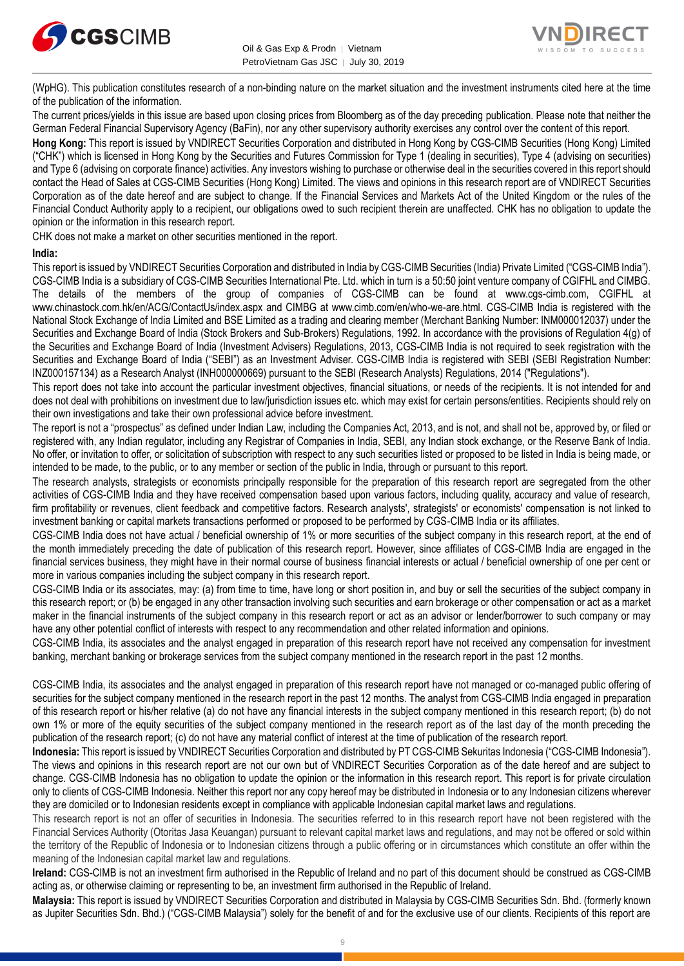



(WpHG). This publication constitutes research of a non-binding nature on the market situation and the investment instruments cited here at the time of the publication of the information.

The current prices/yields in this issue are based upon closing prices from Bloomberg as of the day preceding publication. Please note that neither the German Federal Financial Supervisory Agency (BaFin), nor any other supervisory authority exercises any control over the content of this report.

**Hong Kong:** This report is issued by VNDIRECT Securities Corporation and distributed in Hong Kong by CGS-CIMB Securities (Hong Kong) Limited ("CHK") which is licensed in Hong Kong by the Securities and Futures Commission for Type 1 (dealing in securities), Type 4 (advising on securities) and Type 6 (advising on corporate finance) activities. Any investors wishing to purchase or otherwise deal in the securities covered in this report should contact the Head of Sales at CGS-CIMB Securities (Hong Kong) Limited. The views and opinions in this research report are of VNDIRECT Securities Corporation as of the date hereof and are subject to change. If the Financial Services and Markets Act of the United Kingdom or the rules of the Financial Conduct Authority apply to a recipient, our obligations owed to such recipient therein are unaffected. CHK has no obligation to update the opinion or the information in this research report.

CHK does not make a market on other securities mentioned in the report.

#### **India:**

This report is issued by VNDIRECT Securities Corporation and distributed in India by CGS-CIMB Securities (India) Private Limited ("CGS-CIMB India"). CGS-CIMB India is a subsidiary of CGS-CIMB Securities International Pte. Ltd. which in turn is a 50:50 joint venture company of CGIFHL and CIMBG. The details of the members of the group of companies of CGS-CIMB can be found at www.cgs-cimb.com, CGIFHL at www.chinastock.com.hk/en/ACG/ContactUs/index.aspx and CIMBG at www.cimb.com/en/who-we-are.html. CGS-CIMB India is registered with the National Stock Exchange of India Limited and BSE Limited as a trading and clearing member (Merchant Banking Number: INM000012037) under the Securities and Exchange Board of India (Stock Brokers and Sub-Brokers) Regulations, 1992. In accordance with the provisions of Regulation 4(g) of the Securities and Exchange Board of India (Investment Advisers) Regulations, 2013, CGS-CIMB India is not required to seek registration with the Securities and Exchange Board of India ("SEBI") as an Investment Adviser. CGS-CIMB India is registered with SEBI (SEBI Registration Number: INZ000157134) as a Research Analyst (INH000000669) pursuant to the SEBI (Research Analysts) Regulations, 2014 ("Regulations").

This report does not take into account the particular investment objectives, financial situations, or needs of the recipients. It is not intended for and does not deal with prohibitions on investment due to law/jurisdiction issues etc. which may exist for certain persons/entities. Recipients should rely on their own investigations and take their own professional advice before investment.

The report is not a "prospectus" as defined under Indian Law, including the Companies Act, 2013, and is not, and shall not be, approved by, or filed or registered with, any Indian regulator, including any Registrar of Companies in India, SEBI, any Indian stock exchange, or the Reserve Bank of India. No offer, or invitation to offer, or solicitation of subscription with respect to any such securities listed or proposed to be listed in India is being made, or intended to be made, to the public, or to any member or section of the public in India, through or pursuant to this report.

The research analysts, strategists or economists principally responsible for the preparation of this research report are segregated from the other activities of CGS-CIMB India and they have received compensation based upon various factors, including quality, accuracy and value of research, firm profitability or revenues, client feedback and competitive factors. Research analysts', strategists' or economists' compensation is not linked to investment banking or capital markets transactions performed or proposed to be performed by CGS-CIMB India or its affiliates.

CGS-CIMB India does not have actual / beneficial ownership of 1% or more securities of the subject company in this research report, at the end of the month immediately preceding the date of publication of this research report. However, since affiliates of CGS-CIMB India are engaged in the financial services business, they might have in their normal course of business financial interests or actual / beneficial ownership of one per cent or more in various companies including the subject company in this research report.

CGS-CIMB India or its associates, may: (a) from time to time, have long or short position in, and buy or sell the securities of the subject company in this research report; or (b) be engaged in any other transaction involving such securities and earn brokerage or other compensation or act as a market maker in the financial instruments of the subject company in this research report or act as an advisor or lender/borrower to such company or may have any other potential conflict of interests with respect to any recommendation and other related information and opinions.

CGS-CIMB India, its associates and the analyst engaged in preparation of this research report have not received any compensation for investment banking, merchant banking or brokerage services from the subject company mentioned in the research report in the past 12 months.

CGS-CIMB India, its associates and the analyst engaged in preparation of this research report have not managed or co-managed public offering of securities for the subject company mentioned in the research report in the past 12 months. The analyst from CGS-CIMB India engaged in preparation of this research report or his/her relative (a) do not have any financial interests in the subject company mentioned in this research report; (b) do not own 1% or more of the equity securities of the subject company mentioned in the research report as of the last day of the month preceding the publication of the research report; (c) do not have any material conflict of interest at the time of publication of the research report.

**Indonesia:** This report is issued by VNDIRECT Securities Corporation and distributed by PT CGS-CIMB Sekuritas Indonesia ("CGS-CIMB Indonesia"). The views and opinions in this research report are not our own but of VNDIRECT Securities Corporation as of the date hereof and are subject to change. CGS-CIMB Indonesia has no obligation to update the opinion or the information in this research report. This report is for private circulation only to clients of CGS-CIMB Indonesia. Neither this report nor any copy hereof may be distributed in Indonesia or to any Indonesian citizens wherever they are domiciled or to Indonesian residents except in compliance with applicable Indonesian capital market laws and regulations.

This research report is not an offer of securities in Indonesia. The securities referred to in this research report have not been registered with the Financial Services Authority (Otoritas Jasa Keuangan) pursuant to relevant capital market laws and regulations, and may not be offered or sold within the territory of the Republic of Indonesia or to Indonesian citizens through a public offering or in circumstances which constitute an offer within the meaning of the Indonesian capital market law and regulations.

**Ireland:** CGS-CIMB is not an investment firm authorised in the Republic of Ireland and no part of this document should be construed as CGS-CIMB acting as, or otherwise claiming or representing to be, an investment firm authorised in the Republic of Ireland.

**Malaysia:** This report is issued by VNDIRECT Securities Corporation and distributed in Malaysia by CGS-CIMB Securities Sdn. Bhd. (formerly known as Jupiter Securities Sdn. Bhd.) ("CGS-CIMB Malaysia") solely for the benefit of and for the exclusive use of our clients. Recipients of this report are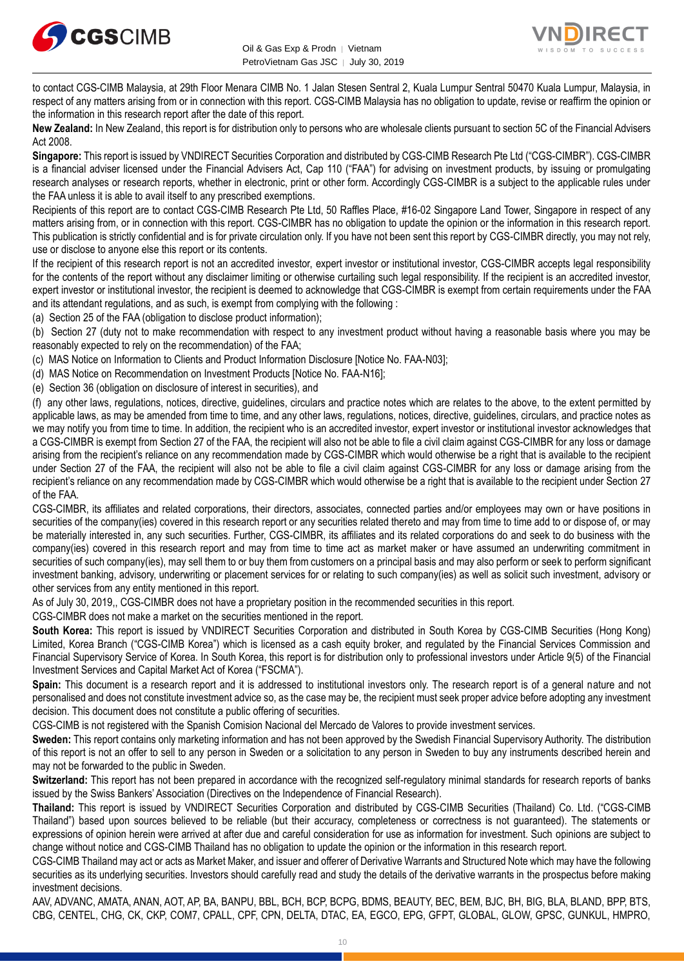



to contact CGS-CIMB Malaysia, at 29th Floor Menara CIMB No. 1 Jalan Stesen Sentral 2, Kuala Lumpur Sentral 50470 Kuala Lumpur, Malaysia, in respect of any matters arising from or in connection with this report. CGS-CIMB Malaysia has no obligation to update, revise or reaffirm the opinion or the information in this research report after the date of this report.

**New Zealand:** In New Zealand, this report is for distribution only to persons who are wholesale clients pursuant to section 5C of the Financial Advisers Act 2008.

**Singapore:** This report is issued by VNDIRECT Securities Corporation and distributed by CGS-CIMB Research Pte Ltd ("CGS-CIMBR"). CGS-CIMBR is a financial adviser licensed under the Financial Advisers Act, Cap 110 ("FAA") for advising on investment products, by issuing or promulgating research analyses or research reports, whether in electronic, print or other form. Accordingly CGS-CIMBR is a subject to the applicable rules under the FAA unless it is able to avail itself to any prescribed exemptions.

Recipients of this report are to contact CGS-CIMB Research Pte Ltd, 50 Raffles Place, #16-02 Singapore Land Tower, Singapore in respect of any matters arising from, or in connection with this report. CGS-CIMBR has no obligation to update the opinion or the information in this research report. This publication is strictly confidential and is for private circulation only. If you have not been sent this report by CGS-CIMBR directly, you may not rely, use or disclose to anyone else this report or its contents.

If the recipient of this research report is not an accredited investor, expert investor or institutional investor, CGS-CIMBR accepts legal responsibility for the contents of the report without any disclaimer limiting or otherwise curtailing such legal responsibility. If the recipient is an accredited investor, expert investor or institutional investor, the recipient is deemed to acknowledge that CGS-CIMBR is exempt from certain requirements under the FAA and its attendant regulations, and as such, is exempt from complying with the following :

(a) Section 25 of the FAA (obligation to disclose product information);

(b) Section 27 (duty not to make recommendation with respect to any investment product without having a reasonable basis where you may be reasonably expected to rely on the recommendation) of the FAA;

(c) MAS Notice on Information to Clients and Product Information Disclosure [Notice No. FAA-N03];

(d) MAS Notice on Recommendation on Investment Products [Notice No. FAA-N16];

(e) Section 36 (obligation on disclosure of interest in securities), and

(f) any other laws, regulations, notices, directive, guidelines, circulars and practice notes which are relates to the above, to the extent permitted by applicable laws, as may be amended from time to time, and any other laws, regulations, notices, directive, guidelines, circulars, and practice notes as we may notify you from time to time. In addition, the recipient who is an accredited investor, expert investor or institutional investor acknowledges that a CGS-CIMBR is exempt from Section 27 of the FAA, the recipient will also not be able to file a civil claim against CGS-CIMBR for any loss or damage arising from the recipient's reliance on any recommendation made by CGS-CIMBR which would otherwise be a right that is available to the recipient under Section 27 of the FAA, the recipient will also not be able to file a civil claim against CGS-CIMBR for any loss or damage arising from the recipient's reliance on any recommendation made by CGS-CIMBR which would otherwise be a right that is available to the recipient under Section 27 of the FAA.

CGS-CIMBR, its affiliates and related corporations, their directors, associates, connected parties and/or employees may own or have positions in securities of the company(ies) covered in this research report or any securities related thereto and may from time to time add to or dispose of, or may be materially interested in, any such securities. Further, CGS-CIMBR, its affiliates and its related corporations do and seek to do business with the company(ies) covered in this research report and may from time to time act as market maker or have assumed an underwriting commitment in securities of such company(ies), may sell them to or buy them from customers on a principal basis and may also perform or seek to perform significant investment banking, advisory, underwriting or placement services for or relating to such company(ies) as well as solicit such investment, advisory or other services from any entity mentioned in this report.

As of July 30, 2019,, CGS-CIMBR does not have a proprietary position in the recommended securities in this report.

CGS-CIMBR does not make a market on the securities mentioned in the report.

**South Korea:** This report is issued by VNDIRECT Securities Corporation and distributed in South Korea by CGS-CIMB Securities (Hong Kong) Limited, Korea Branch ("CGS-CIMB Korea") which is licensed as a cash equity broker, and regulated by the Financial Services Commission and Financial Supervisory Service of Korea. In South Korea, this report is for distribution only to professional investors under Article 9(5) of the Financial Investment Services and Capital Market Act of Korea ("FSCMA").

**Spain:** This document is a research report and it is addressed to institutional investors only. The research report is of a general nature and not personalised and does not constitute investment advice so, as the case may be, the recipient must seek proper advice before adopting any investment decision. This document does not constitute a public offering of securities.

CGS-CIMB is not registered with the Spanish Comision Nacional del Mercado de Valores to provide investment services.

**Sweden:** This report contains only marketing information and has not been approved by the Swedish Financial Supervisory Authority. The distribution of this report is not an offer to sell to any person in Sweden or a solicitation to any person in Sweden to buy any instruments described herein and may not be forwarded to the public in Sweden.

**Switzerland:** This report has not been prepared in accordance with the recognized self-regulatory minimal standards for research reports of banks issued by the Swiss Bankers' Association (Directives on the Independence of Financial Research).

**Thailand:** This report is issued by VNDIRECT Securities Corporation and distributed by CGS-CIMB Securities (Thailand) Co. Ltd. ("CGS-CIMB Thailand") based upon sources believed to be reliable (but their accuracy, completeness or correctness is not guaranteed). The statements or expressions of opinion herein were arrived at after due and careful consideration for use as information for investment. Such opinions are subject to change without notice and CGS-CIMB Thailand has no obligation to update the opinion or the information in this research report.

CGS-CIMB Thailand may act or acts as Market Maker, and issuer and offerer of Derivative Warrants and Structured Note which may have the following securities as its underlying securities. Investors should carefully read and study the details of the derivative warrants in the prospectus before making investment decisions.

AAV, ADVANC, AMATA, ANAN, AOT, AP, BA, BANPU, BBL, BCH, BCP, BCPG, BDMS, BEAUTY, BEC, BEM, BJC, BH, BIG, BLA, BLAND, BPP, BTS, CBG, CENTEL, CHG, CK, CKP, COM7, CPALL, CPF, CPN, DELTA, DTAC, EA, EGCO, EPG, GFPT, GLOBAL, GLOW, GPSC, GUNKUL, HMPRO,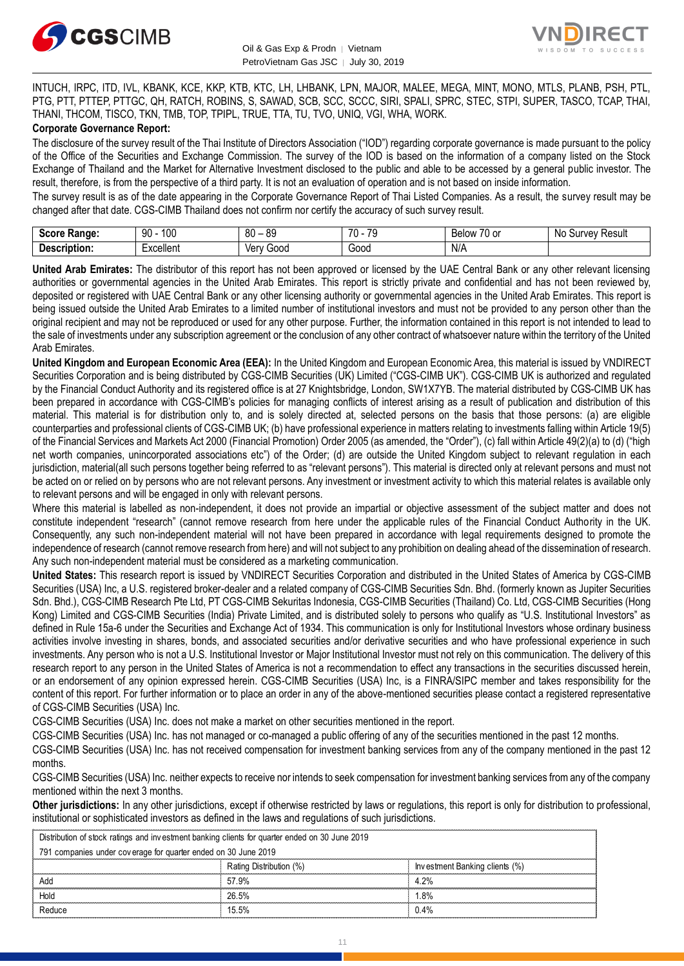



INTUCH, IRPC, ITD, IVL, KBANK, KCE, KKP, KTB, KTC, LH, LHBANK, LPN, MAJOR, MALEE, MEGA, MINT, MONO, MTLS, PLANB, PSH, PTL, PTG, PTT, PTTEP, PTTGC, QH, RATCH, ROBINS, S, SAWAD, SCB, SCC, SCCC, SIRI, SPALI, SPRC, STEC, STPI, SUPER, TASCO, TCAP, THAI, THANI, THCOM, TISCO, TKN, TMB, TOP, TPIPL, TRUE, TTA, TU, TVO, UNIQ, VGI, WHA, WORK.

#### **Corporate Governance Report:**

The disclosure of the survey result of the Thai Institute of Directors Association ("IOD") regarding corporate governance is made pursuant to the policy of the Office of the Securities and Exchange Commission. The survey of the IOD is based on the information of a company listed on the Stock Exchange of Thailand and the Market for Alternative Investment disclosed to the public and able to be accessed by a general public investor. The result, therefore, is from the perspective of a third party. It is not an evaluation of operation and is not based on inside information.

The survey result is as of the date appearing in the Corporate Governance Report of Thai Listed Companies. As a result, the survey result may be changed after that date. CGS-CIMB Thailand does not confirm nor certify the accuracy of such survey result.

| <b>CAAPA</b><br><b>Range:</b> | 100<br>۵N<br>טע<br>ĴU | . RC<br>80       | $\overline{\phantom{a}}$<br>$\overline{\phantom{a}}$<br>$\cdot$ | $\overline{\phantom{a}}$<br>$\sim$<br>RAIMM<br><b>DEIOV</b><br>ו טע | N0<br>Result<br>urvey. |
|-------------------------------|-----------------------|------------------|-----------------------------------------------------------------|---------------------------------------------------------------------|------------------------|
| <b>Descrip</b><br>ription.    | Excellent             | 000ز<br>ver<br>v | Good                                                            | $N/\sim$                                                            |                        |

**United Arab Emirates:** The distributor of this report has not been approved or licensed by the UAE Central Bank or any other relevant licensing authorities or governmental agencies in the United Arab Emirates. This report is strictly private and confidential and has not been reviewed by, deposited or registered with UAE Central Bank or any other licensing authority or governmental agencies in the United Arab Emirates. This report is being issued outside the United Arab Emirates to a limited number of institutional investors and must not be provided to any person other than the original recipient and may not be reproduced or used for any other purpose. Further, the information contained in this report is not intended to lead to the sale of investments under any subscription agreement or the conclusion of any other contract of whatsoever nature within the territory of the United Arab Emirates.

**United Kingdom and European Economic Area (EEA):** In the United Kingdom and European Economic Area, this material is issued by VNDIRECT Securities Corporation and is being distributed by CGS-CIMB Securities (UK) Limited ("CGS-CIMB UK"). CGS-CIMB UK is authorized and regulated by the Financial Conduct Authority and its registered office is at 27 Knightsbridge, London, SW1X7YB. The material distributed by CGS-CIMB UK has been prepared in accordance with CGS-CIMB's policies for managing conflicts of interest arising as a result of publication and distribution of this material. This material is for distribution only to, and is solely directed at, selected persons on the basis that those persons: (a) are eligible counterparties and professional clients of CGS-CIMB UK; (b) have professional experience in matters relating to investments falling within Article 19(5) of the Financial Services and Markets Act 2000 (Financial Promotion) Order 2005 (as amended, the "Order"), (c) fall within Article 49(2)(a) to (d) ("high net worth companies, unincorporated associations etc") of the Order; (d) are outside the United Kingdom subject to relevant regulation in each jurisdiction, material(all such persons together being referred to as "relevant persons"). This material is directed only at relevant persons and must not be acted on or relied on by persons who are not relevant persons. Any investment or investment activity to which this material relates is available only to relevant persons and will be engaged in only with relevant persons.

Where this material is labelled as non-independent, it does not provide an impartial or objective assessment of the subject matter and does not constitute independent "research" (cannot remove research from here under the applicable rules of the Financial Conduct Authority in the UK. Consequently, any such non-independent material will not have been prepared in accordance with legal requirements designed to promote the independence of research (cannot remove research from here) and will not subject to any prohibition on dealing ahead of the dissemination of research. Any such non-independent material must be considered as a marketing communication.

**United States:** This research report is issued by VNDIRECT Securities Corporation and distributed in the United States of America by CGS-CIMB Securities (USA) Inc, a U.S. registered broker-dealer and a related company of CGS-CIMB Securities Sdn. Bhd. (formerly known as Jupiter Securities Sdn. Bhd.), CGS-CIMB Research Pte Ltd, PT CGS-CIMB Sekuritas Indonesia, CGS-CIMB Securities (Thailand) Co. Ltd, CGS-CIMB Securities (Hong Kong) Limited and CGS-CIMB Securities (India) Private Limited, and is distributed solely to persons who qualify as "U.S. Institutional Investors" as defined in Rule 15a-6 under the Securities and Exchange Act of 1934. This communication is only for Institutional Investors whose ordinary business activities involve investing in shares, bonds, and associated securities and/or derivative securities and who have professional experience in such investments. Any person who is not a U.S. Institutional Investor or Major Institutional Investor must not rely on this communication. The delivery of this research report to any person in the United States of America is not a recommendation to effect any transactions in the securities discussed herein, or an endorsement of any opinion expressed herein. CGS-CIMB Securities (USA) Inc, is a FINRA/SIPC member and takes responsibility for the content of this report. For further information or to place an order in any of the above-mentioned securities please contact a registered representative of CGS-CIMB Securities (USA) Inc.

CGS-CIMB Securities (USA) Inc. does not make a market on other securities mentioned in the report.

CGS-CIMB Securities (USA) Inc. has not managed or co-managed a public offering of any of the securities mentioned in the past 12 months.

CGS-CIMB Securities (USA) Inc. has not received compensation for investment banking services from any of the company mentioned in the past 12 months.

CGS-CIMB Securities (USA) Inc. neither expects to receive nor intends to seek compensation for investment banking services from any of the company mentioned within the next 3 months.

**Other jurisdictions:** In any other jurisdictions, except if otherwise restricted by laws or regulations, this report is only for distribution to professional, institutional or sophisticated investors as defined in the laws and regulations of such jurisdictions. entioned within the next 3 months.<br> **ther jurisdictions:** In any other jurisdictions, except if otherwise restricted by lastitutional or sophisticated investors as defined in the laws and regulations of st<br>
Distribution of

| institutional or sophisticated investors as defined in the laws and regulations of such jurisdictions. |                         |                                |
|--------------------------------------------------------------------------------------------------------|-------------------------|--------------------------------|
| Distribution of stock ratings and investment banking clients for quarter ended on 30 June 2019         |                         |                                |
| 791 companies under coverage for quarter ended on 30 June 2019                                         |                         |                                |
|                                                                                                        | Rating Distribution (%) | Investment Banking clients (%) |
|                                                                                                        | 57.9%                   | 4 2%                           |
| Hold                                                                                                   | 26.5%                   | .8%                            |
| Reduce                                                                                                 | 15.5%                   | 0.4%                           |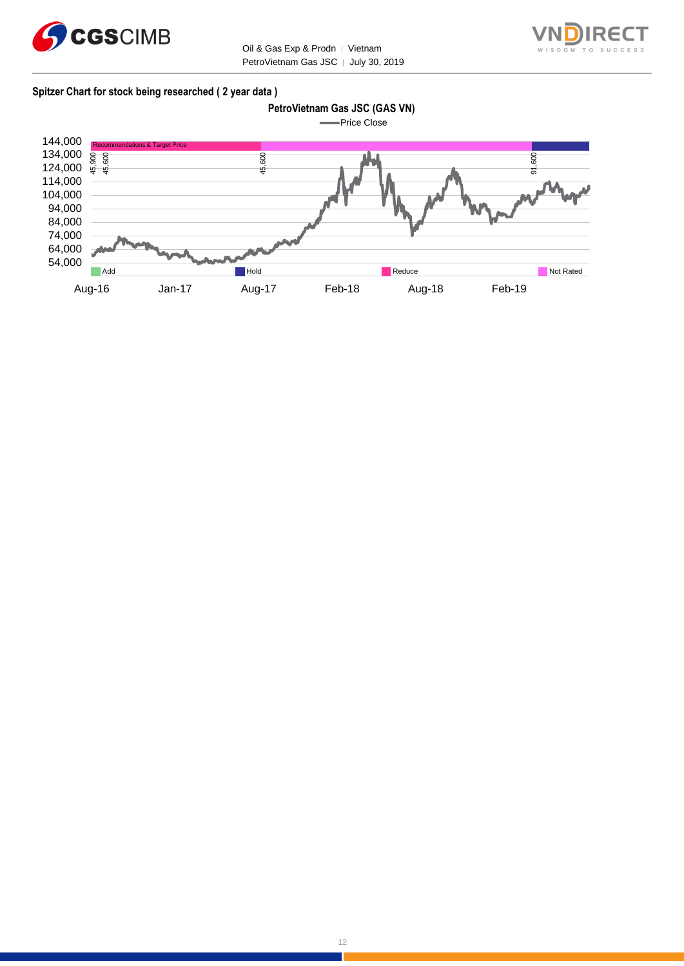



#### **Spitzer Chart for stock being researched ( 2 year data )**

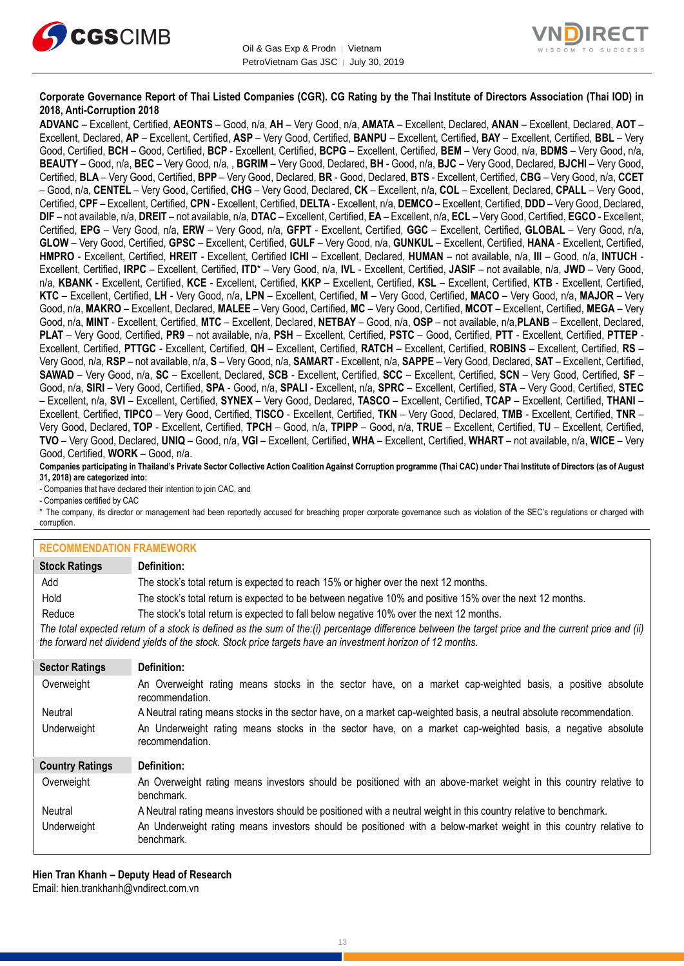



#### **Corporate Governance Report of Thai Listed Companies (CGR). CG Rating by the Thai Institute of Directors Association (Thai IOD) in 2018, Anti-Corruption 2018**

**ADVANC** – Excellent, Certified, **AEONTS** – Good, n/a, **AH** – Very Good, n/a, **AMATA** – Excellent, Declared, **ANAN** – Excellent, Declared, **AOT** – Excellent, Declared, **AP** – Excellent, Certified, **ASP** – Very Good, Certified, **BANPU** – Excellent, Certified, **BAY** – Excellent, Certified, **BBL** – Very Good, Certified, **BCH** – Good, Certified, **BCP** - Excellent, Certified, **BCPG** – Excellent, Certified, **BEM** – Very Good, n/a, **BDMS** – Very Good, n/a, **BEAUTY** – Good, n/a, **BEC** – Very Good, n/a, , **BGRIM** – Very Good, Declared, **BH** - Good, n/a, **BJC** – Very Good, Declared, **BJCHI** – Very Good, Certified, **BLA** – Very Good, Certified, **BPP** – Very Good, Declared, **BR** - Good, Declared, **BTS** - Excellent, Certified, **CBG** – Very Good, n/a, **CCET** – Good, n/a, **CENTEL** – Very Good, Certified, **CHG** – Very Good, Declared, **CK** – Excellent, n/a, **COL** – Excellent, Declared, **CPALL** – Very Good, Certified, **CPF** – Excellent, Certified, **CPN** - Excellent, Certified, **DELTA** - Excellent, n/a, **DEMCO** – Excellent, Certified, **DDD** – Very Good, Declared, **DIF** – not available, n/a, **DREIT** – not available, n/a, **DTAC** – Excellent, Certified, **EA** – Excellent, n/a, **ECL** – Very Good, Certified, **EGCO** - Excellent, Certified, **EPG** – Very Good, n/a, **ERW** – Very Good, n/a, **GFPT** - Excellent, Certified, **GGC** – Excellent, Certified, **GLOBAL** – Very Good, n/a, **GLOW** – Very Good, Certified, **GPSC** – Excellent, Certified, **GULF** – Very Good, n/a, **GUNKUL** – Excellent, Certified, **HANA** - Excellent, Certified, **HMPRO** - Excellent, Certified, **HREIT** - Excellent, Certified **ICHI** – Excellent, Declared, **HUMAN** – not available, n/a, **III** – Good, n/a, **INTUCH** - Excellent, Certified, **IRPC** – Excellent, Certified, **ITD**\* – Very Good, n/a, **IVL** - Excellent, Certified, **JASIF** – not available, n/a, **JWD** – Very Good, n/a, **KBANK** - Excellent, Certified, **KCE** - Excellent, Certified, **KKP** – Excellent, Certified, **KSL** – Excellent, Certified, **KTB** - Excellent, Certified, **KTC** – Excellent, Certified, **LH** - Very Good, n/a, **LPN** – Excellent, Certified, **M** – Very Good, Certified, **MACO** – Very Good, n/a, **MAJOR** – Very Good, n/a, **MAKRO** – Excellent, Declared, **MALEE** – Very Good, Certified, **MC** – Very Good, Certified, **MCOT** – Excellent, Certified, **MEGA** – Very Good, n/a, **MINT** - Excellent, Certified, **MTC** – Excellent, Declared, **NETBAY** – Good, n/a, **OSP** – not available, n/a,**PLANB** – Excellent, Declared, **PLAT** – Very Good, Certified, **PR9** – not available, n/a, **PSH** – Excellent, Certified, **PSTC** – Good, Certified, **PTT** - Excellent, Certified, **PTTEP** - Excellent, Certified, **PTTGC** - Excellent, Certified, **QH** – Excellent, Certified, **RATCH** – Excellent, Certified, **ROBINS** – Excellent, Certified, **RS** – Very Good, n/a, **RSP** – not available, n/a, **S** – Very Good, n/a, **SAMART** - Excellent, n/a, **SAPPE** – Very Good, Declared, **SAT** – Excellent, Certified, **SAWAD** – Very Good, n/a, **SC** – Excellent, Declared, **SCB** - Excellent, Certified, **SCC** – Excellent, Certified, **SCN** – Very Good, Certified, **SF** – Good, n/a, **SIRI** – Very Good, Certified, **SPA** - Good, n/a, **SPALI** - Excellent, n/a, **SPRC** – Excellent, Certified, **STA** – Very Good, Certified, **STEC** – Excellent, n/a, **SVI** – Excellent, Certified, **SYNEX** – Very Good, Declared, **TASCO** – Excellent, Certified, **TCAP** – Excellent, Certified, **THANI** – Excellent, Certified, **TIPCO** – Very Good, Certified, **TISCO** - Excellent, Certified, **TKN** – Very Good, Declared, **TMB** - Excellent, Certified, **TNR** – Very Good, Declared, **TOP** - Excellent, Certified, **TPCH** – Good, n/a, **TPIPP** – Good, n/a, **TRUE** – Excellent, Certified, **TU** – Excellent, Certified, **TVO** – Very Good, Declared, **UNIQ** – Good, n/a, **VGI** – Excellent, Certified, **WHA** – Excellent, Certified, **WHART** – not available, n/a, **WICE** – Very Good, Certified, **WORK** – Good, n/a.

**Companies participating in Thailand's Private Sector Collective Action Coalition Against Corruption programme (Thai CAC) under Thai Institute of Directors (as of August 31, 2018) are categorized into:**

- Companies that have declared their intention to join CAC, and

- Companies certified by CAC

\* The company, its director or management had been reportedly accused for breaching proper corporate governance such as violation of the SEC's regulations or charged with corruption.

#### **RECOMMENDATION FRAMEWORK**

| <u>IN⊑VYIIIIIII⊑INP/NTIVIN I IVNIIIEIIIVINN</u> |                                                                                                                                                                                                                                                                   |
|-------------------------------------------------|-------------------------------------------------------------------------------------------------------------------------------------------------------------------------------------------------------------------------------------------------------------------|
| <b>Stock Ratings</b>                            | Definition:                                                                                                                                                                                                                                                       |
| Add                                             | The stock's total return is expected to reach 15% or higher over the next 12 months.                                                                                                                                                                              |
| Hold                                            | The stock's total return is expected to be between negative 10% and positive 15% over the next 12 months.                                                                                                                                                         |
| Reduce                                          | The stock's total return is expected to fall below negative 10% over the next 12 months.                                                                                                                                                                          |
|                                                 | The total expected return of a stock is defined as the sum of the:(i) percentage difference between the target price and the current price and (ii)<br>the forward net dividend yields of the stock. Stock price targets have an investment horizon of 12 months. |
| <b>Sector Ratings</b>                           | Definition:                                                                                                                                                                                                                                                       |
| Overweight                                      | An Overweight rating means stocks in the sector have, on a market cap-weighted basis, a positive absolute<br>recommendation.                                                                                                                                      |
| Neutral                                         | A Neutral rating means stocks in the sector have, on a market cap-weighted basis, a neutral absolute recommendation.                                                                                                                                              |
| Underweight                                     | An Underweight rating means stocks in the sector have, on a market cap-weighted basis, a negative absolute<br>recommendation.                                                                                                                                     |
| <b>Country Ratings</b>                          | Definition:                                                                                                                                                                                                                                                       |
| Overweight                                      | An Overweight rating means investors should be positioned with an above-market weight in this country relative to<br>benchmark.                                                                                                                                   |
| Neutral                                         | A Neutral rating means investors should be positioned with a neutral weight in this country relative to benchmark.                                                                                                                                                |
| Underweight                                     | An Underweight rating means investors should be positioned with a below-market weight in this country relative to<br>benchmark.                                                                                                                                   |

**Hien Tran Khanh – Deputy Head of Research** Email: [hien.trankhanh@vndirect.com.vn](mailto:hien.trankhanh@vndirect.com.vn)